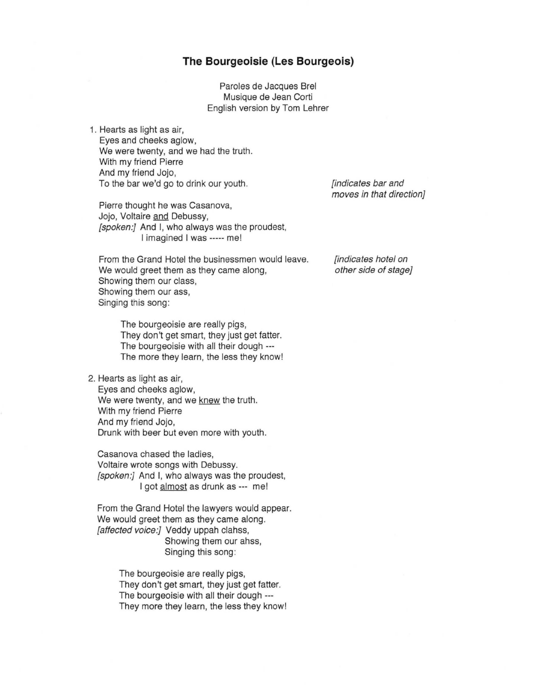## **The Bourgeoisie (Les Bourgeois)**

Paroles de Jacques Brei Musique de Jean Corti English version by Tom Lehrer

1. Hearts as light as air, Eyes and cheeks aglow, We were twenty, and we had the truth. With my friend Pierre And my friend Jojo, To the bar we'd go to drink our youth.

Pierre thought he was Casanova, Jojo, Voltaire and Debussy, [spoken:] And I, who always was the proudest, I imagined I was ----- me!

From the Grand Hotel the businessmen would leave. We would greet them as they came along. Showing them our class, Showing them our ass, Singing this song:

> The bourgeoisie are really pigs, They don't get smart, they just get fatter. The bourgeoisie with all their dough --- The more they learn, the less they know!

2. Hearts as light as air,

Eyes and cheeks aglow, We were twenty, and we knew the truth. With my friend Pierre And my friend Jojo, Drunk with beer but even more with youth .

Casanova chased the ladies, Voltaire wrote songs with Debussy. [spoken:] And I, who always was the proudest, I got almost as drunk as --- me!

From the Grand Hotel the lawyers would appear. We would greet them as they came along. [affected voice:] Veddy uppah clahss, Showing them our ahss, Singing this song:

> The bourgeoisie are really pigs, They don't get smart, they just get fatter. The bourgeoisie with all their dough --- They more they learn, the less they know!

[indicates bar and moves in that direction}

[indicates hotel on other side of stage}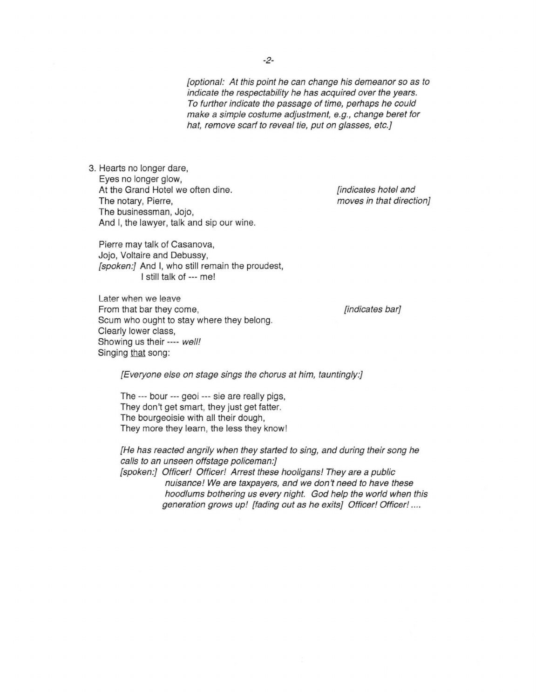[optional: At this point he can change his demeanor so as to indicate the respectability he has acquired over the years. To further indicate the passage of time, perhaps he could make a simple costume adjustment, e.g., change beret for hat, remove scarf to reveal tie, put on glasses, etc.}

3. Hearts no longer dare, Eyes no longer glow, At the Grand Hotel we often dine. The notary, Pierre, The businessman, Jojo, And I, the lawyer, talk and sip our wine.

Pierre may talk of Casanova, Jojo, Voltaire and Debussy, [spoken:] And I, who still remain the proudest, I still talk of --- me!

Later when we leave From that bar they come, Scum who ought to stay where they belong. Clearly lower class, Showing us their ---- well! Singing that song:

[indicates hotel and moves in that direction]

[indicates bar]

[Everyone else on stage sings the chorus at him, tauntingly.]

The --- bour --- geoi --- sie are really pigs, They don't get smart, they just get fatter. The bourgeoisie with all their dough, They more they learn, the less they know!

[He has reacted angrily when they started to sing, and during their song he calls to an unseen offstage policeman:]

[spoken:] Officer! Officer! Arrest these hooligans! They are a public nuisance! We are taxpayers, and we don't need to have these hoodlums bothering us every night. God help the world when this generation grows up! [fading out as he exits] Officer! Officer! ....

-2-